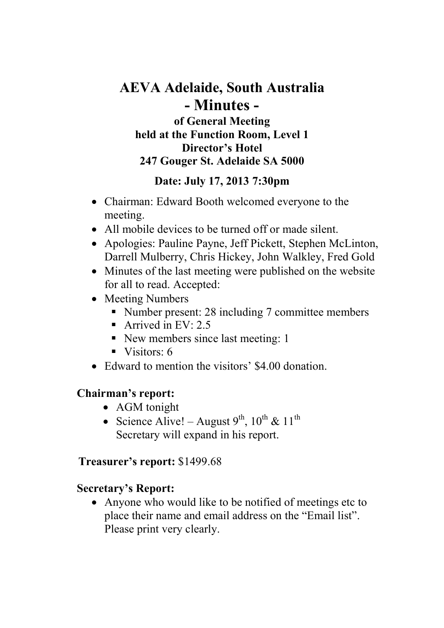# **AEVA Adelaide, South Australia - Minutes of General Meeting held at the Function Room, Level 1 Director's Hotel**

### **247 Gouger St. Adelaide SA 5000**

### **Date: July 17, 2013 7:30pm**

- Chairman: Edward Booth welcomed everyone to the meeting.
- All mobile devices to be turned off or made silent.
- Apologies: Pauline Payne, Jeff Pickett, Stephen McLinton, Darrell Mulberry, Chris Hickey, John Walkley, Fred Gold
- Minutes of the last meeting were published on the website for all to read. Accepted:
- Meeting Numbers
	- Number present: 28 including 7 committee members
	- Arrived in EV:  $2.5$
	- New members since last meeting: 1
	- $\blacksquare$  Visitors: 6
- Edward to mention the visitors' \$4,00 donation.

## **Chairman's report:**

- AGM tonight
- Science Alive! August  $9^{th}$ ,  $10^{th}$  &  $11^{th}$ Secretary will expand in his report.

### **Treasurer's report:** \$1499.68

## **Secretary's Report:**

• Anyone who would like to be notified of meetings etc to place their name and email address on the "Email list". Please print very clearly.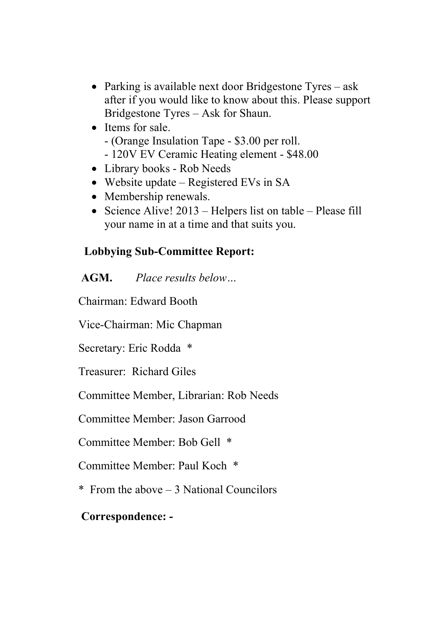- Parking is available next door Bridgestone Tyres ask after if you would like to know about this. Please support Bridgestone Tyres – Ask for Shaun.
- Items for sale. - (Orange Insulation Tape - \$3.00 per roll.
	- 120V EV Ceramic Heating element \$48.00
- Library books Rob Needs
- Website update Registered EVs in SA
- Membership renewals.
- Science Alive! 2013 Helpers list on table Please fill your name in at a time and that suits you.

## **Lobbying Sub-Committee Report:**

 **AGM.** *Place results below…*

Chairman: Edward Booth

Vice-Chairman: Mic Chapman

Secretary: Eric Rodda \*

Treasurer: Richard Giles

Committee Member, Librarian: Rob Needs

Committee Member: Jason Garrood

Committee Member: Bob Gell \*

Committee Member: Paul Koch \*

\* From the above – 3 National Councilors

## **Correspondence: -**